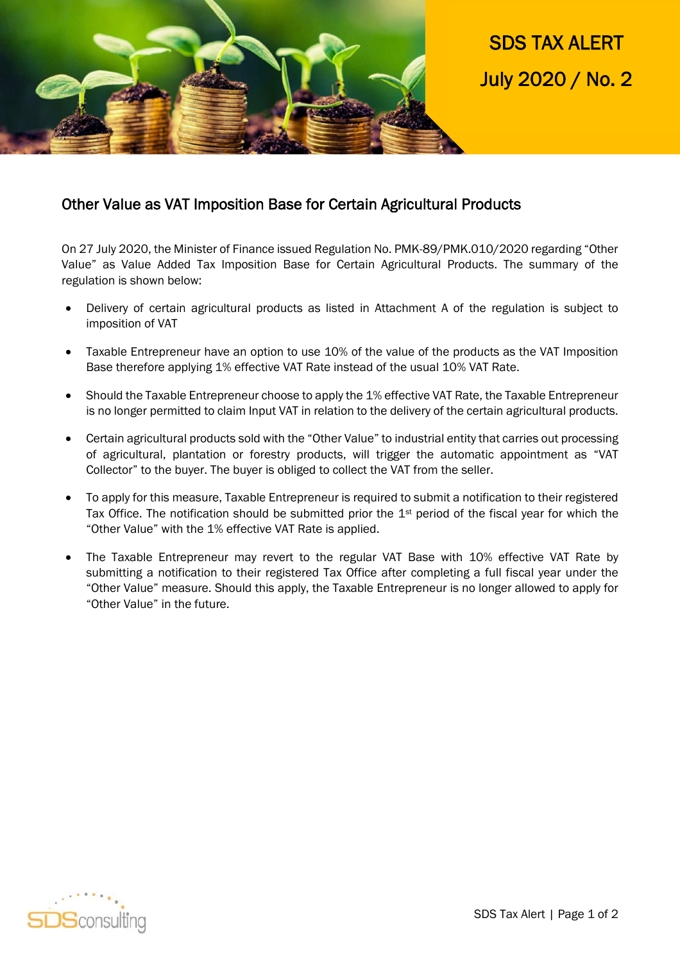

SDS TAX ALERT July 2020 / No. 2

## Other Value as VAT Imposition Base for Certain Agricultural Products

On 27 July 2020, the Minister of Finance issued Regulation No. PMK-89/PMK.010/2020 regarding "Other Value" as Value Added Tax Imposition Base for Certain Agricultural Products. The summary of the regulation is shown below:

- Delivery of certain agricultural products as listed in Attachment A of the regulation is subject to imposition of VAT
- Taxable Entrepreneur have an option to use 10% of the value of the products as the VAT Imposition Base therefore applying 1% effective VAT Rate instead of the usual 10% VAT Rate.
- Should the Taxable Entrepreneur choose to apply the 1% effective VAT Rate, the Taxable Entrepreneur is no longer permitted to claim Input VAT in relation to the delivery of the certain agricultural products.
- Certain agricultural products sold with the "Other Value" to industrial entity that carries out processing of agricultural, plantation or forestry products, will trigger the automatic appointment as "VAT Collector" to the buyer. The buyer is obliged to collect the VAT from the seller.
- To apply for this measure, Taxable Entrepreneur is required to submit a notification to their registered Tax Office. The notification should be submitted prior the 1st period of the fiscal year for which the "Other Value" with the 1% effective VAT Rate is applied.
- The Taxable Entrepreneur may revert to the regular VAT Base with 10% effective VAT Rate by submitting a notification to their registered Tax Office after completing a full fiscal year under the "Other Value" measure. Should this apply, the Taxable Entrepreneur is no longer allowed to apply for "Other Value" in the future.